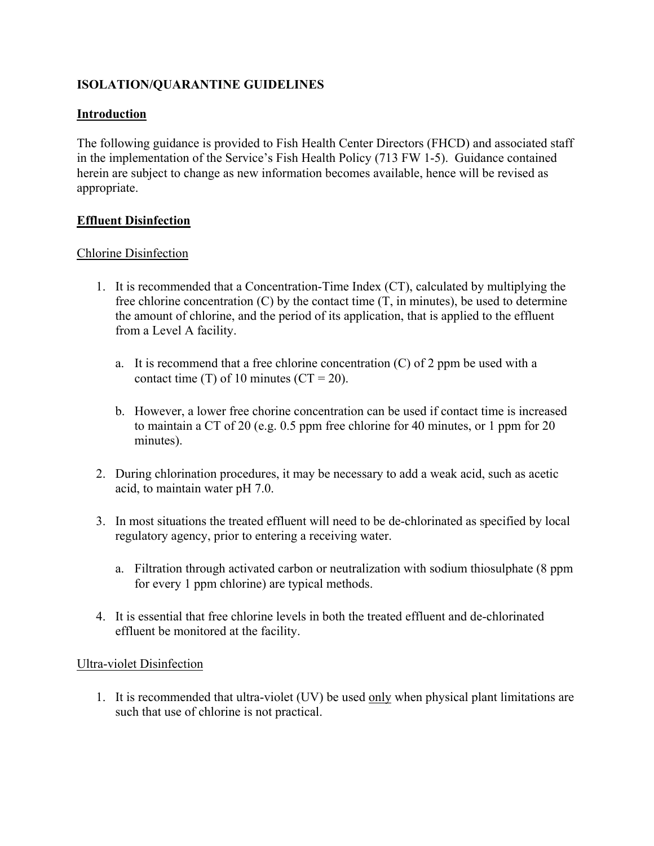# **ISOLATION/QUARANTINE GUIDELINES**

# **Introduction**

The following guidance is provided to Fish Health Center Directors (FHCD) and associated staff in the implementation of the Service's Fish Health Policy (713 FW 1-5). Guidance contained herein are subject to change as new information becomes available, hence will be revised as appropriate.

### **Effluent Disinfection**

### Chlorine Disinfection

- 1. It is recommended that a Concentration-Time Index (CT), calculated by multiplying the free chlorine concentration  $(C)$  by the contact time  $(T, \text{ in minutes})$ , be used to determine the amount of chlorine, and the period of its application, that is applied to the effluent from a Level A facility.
	- a. It is recommend that a free chlorine concentration  $(C)$  of 2 ppm be used with a contact time (T) of 10 minutes ( $CT = 20$ ).
	- b. However, a lower free chorine concentration can be used if contact time is increased to maintain a CT of 20 (e.g. 0.5 ppm free chlorine for 40 minutes, or 1 ppm for 20 minutes).
- 2. During chlorination procedures, it may be necessary to add a weak acid, such as acetic acid, to maintain water pH 7.0.
- 3. In most situations the treated effluent will need to be de-chlorinated as specified by local regulatory agency, prior to entering a receiving water.
	- a. Filtration through activated carbon or neutralization with sodium thiosulphate (8 ppm for every 1 ppm chlorine) are typical methods.
- 4. It is essential that free chlorine levels in both the treated effluent and de-chlorinated effluent be monitored at the facility.

### Ultra-violet Disinfection

1. It is recommended that ultra-violet (UV) be used only when physical plant limitations are such that use of chlorine is not practical.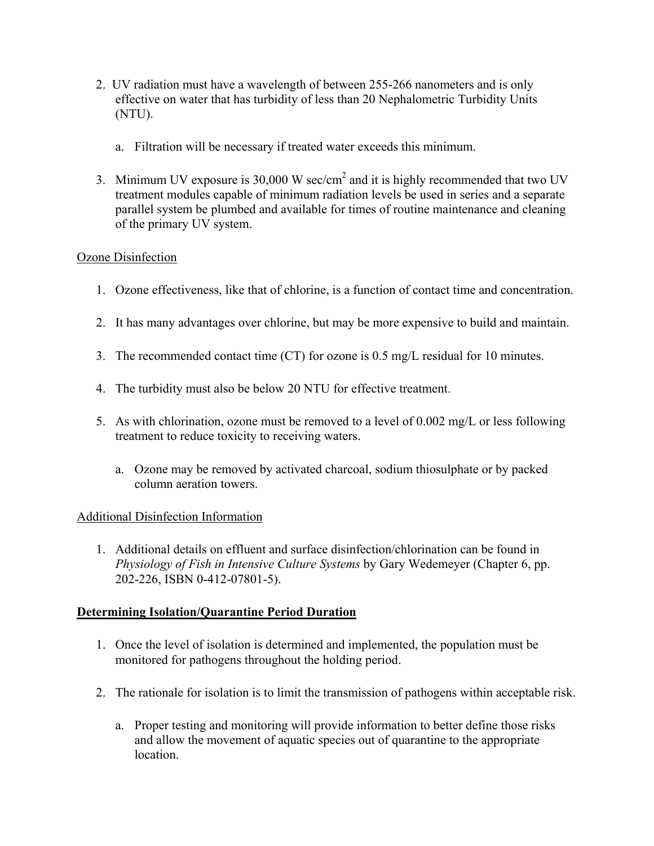- 2. UV radiation must have a wavelength of between 255-266 nanometers and is only effective on water that has turbidity of less than 20 Nephalometric Turbidity Units (NTU).
	- a. Filtration will be necessary if treated water exceeds this minimum.
- 3. Minimum UV exposure is 30,000 W sec/cm<sup>2</sup> and it is highly recommended that two UV treatment modules capable of minimum radiation levels be used in series and a separate parallel system be plumbed and available for times of routine maintenance and cleaning of the primary UV system.

# Ozone Disinfection

- 1. Ozone effectiveness, like that of chlorine, is a function of contact time and concentration.
- 2. It has many advantages over chlorine, but may be more expensive to build and maintain.
- 3. The recommended contact time (CT) for ozone is 0.5 mg/L residual for 10 minutes.
- 4. The turbidity must also be below 20 NTU for effective treatment.
- 5. As with chlorination, ozone must be removed to a level of 0.002 mg/L or less following treatment to reduce toxicity to receiving waters.
	- a. Ozone may be removed by activated charcoal, sodium thiosulphate or by packed column aeration towers.

### Additional Disinfection Information

1. Additional details on effluent and surface disinfection/chlorination can be found in *Physiology of Fish in Intensive Culture Systems* by Gary Wedemeyer (Chapter 6, pp. 202-226, ISBN 0-412-07801-5).

### **Determining Isolation/Quarantine Period Duration**

- 1. Once the level of isolation is determined and implemented, the population must be monitored for pathogens throughout the holding period.
- 2. The rationale for isolation is to limit the transmission of pathogens within acceptable risk.
	- a. Proper testing and monitoring will provide information to better define those risks and allow the movement of aquatic species out of quarantine to the appropriate location.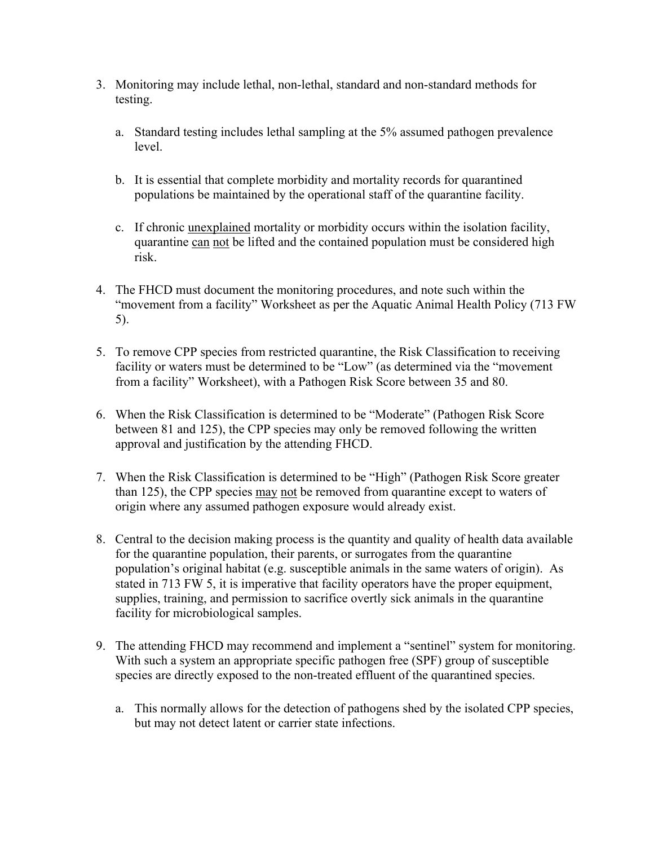- 3. Monitoring may include lethal, non-lethal, standard and non-standard methods for testing.
	- a. Standard testing includes lethal sampling at the 5% assumed pathogen prevalence level.
	- b. It is essential that complete morbidity and mortality records for quarantined populations be maintained by the operational staff of the quarantine facility.
	- c. If chronic unexplained mortality or morbidity occurs within the isolation facility, quarantine can not be lifted and the contained population must be considered high risk.
- 4. The FHCD must document the monitoring procedures, and note such within the "movement from a facility" Worksheet as per the Aquatic Animal Health Policy (713 FW 5).
- 5. To remove CPP species from restricted quarantine, the Risk Classification to receiving facility or waters must be determined to be "Low" (as determined via the "movement" from a facility" Worksheet), with a Pathogen Risk Score between 35 and 80.
- 6. When the Risk Classification is determined to be "Moderate" (Pathogen Risk Score between 81 and 125), the CPP species may only be removed following the written approval and justification by the attending FHCD.
- 7. When the Risk Classification is determined to be "High" (Pathogen Risk Score greater than 125), the CPP species may not be removed from quarantine except to waters of origin where any assumed pathogen exposure would already exist.
- 8. Central to the decision making process is the quantity and quality of health data available for the quarantine population, their parents, or surrogates from the quarantine population's original habitat (e.g. susceptible animals in the same waters of origin). As stated in 713 FW 5, it is imperative that facility operators have the proper equipment, supplies, training, and permission to sacrifice overtly sick animals in the quarantine facility for microbiological samples.
- 9. The attending FHCD may recommend and implement a "sentinel" system for monitoring. With such a system an appropriate specific pathogen free (SPF) group of susceptible species are directly exposed to the non-treated effluent of the quarantined species.
	- a. This normally allows for the detection of pathogens shed by the isolated CPP species, but may not detect latent or carrier state infections.